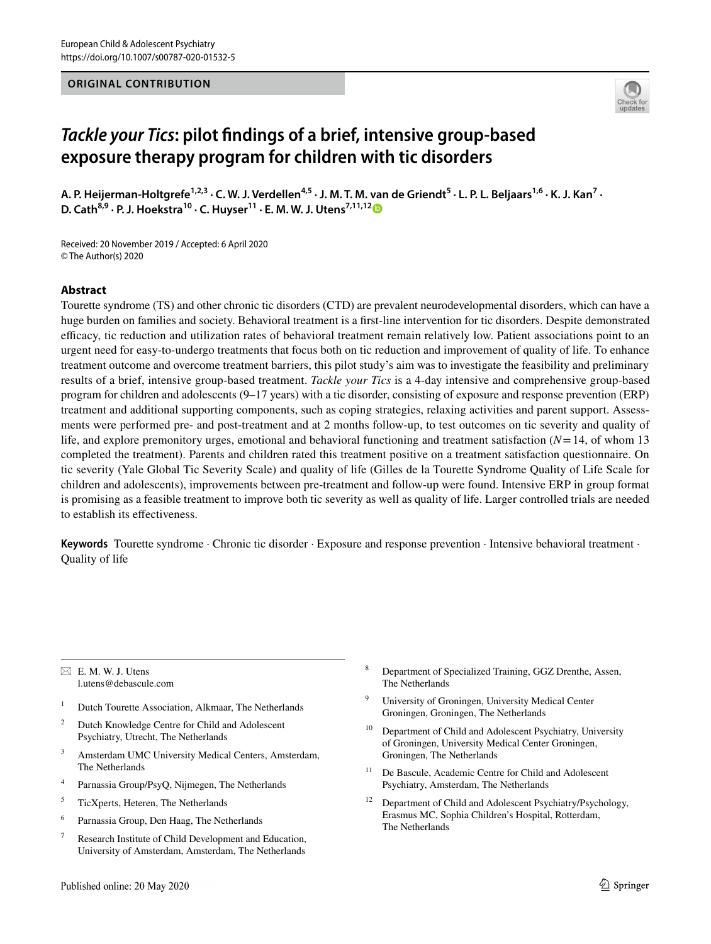### **ORIGINAL CONTRIBUTION**



# *Tackle your Tics***: pilot fndings of a brief, intensive group‑based exposure therapy program for children with tic disorders**

A. P. Heijerman-Holtgrefe<sup>1,2,3</sup> · C. W. J. Verdellen<sup>4,5</sup> · J. M. T. M. van de Griendt<sup>5</sup> · L. P. L. Beljaars<sup>1,6</sup> · K. J. Kan<sup>7</sup> · **D. Cath<sup>8,9</sup> · P. J. Hoekstra<sup>10</sup> · C. Huyser<sup>11</sup> · E. M. W. J. Utens<sup>7,11,12</sup>** 

Received: 20 November 2019 / Accepted: 6 April 2020 © The Author(s) 2020

### **Abstract**

Tourette syndrome (TS) and other chronic tic disorders (CTD) are prevalent neurodevelopmental disorders, which can have a huge burden on families and society. Behavioral treatment is a frst-line intervention for tic disorders. Despite demonstrated efficacy, tic reduction and utilization rates of behavioral treatment remain relatively low. Patient associations point to an urgent need for easy-to-undergo treatments that focus both on tic reduction and improvement of quality of life. To enhance treatment outcome and overcome treatment barriers, this pilot study's aim was to investigate the feasibility and preliminary results of a brief, intensive group-based treatment. *Tackle your Tics* is a 4-day intensive and comprehensive group-based program for children and adolescents (9–17 years) with a tic disorder, consisting of exposure and response prevention (ERP) treatment and additional supporting components, such as coping strategies, relaxing activities and parent support. Assessments were performed pre- and post-treatment and at 2 months follow-up, to test outcomes on tic severity and quality of life, and explore premonitory urges, emotional and behavioral functioning and treatment satisfaction (*N*=14, of whom 13 completed the treatment). Parents and children rated this treatment positive on a treatment satisfaction questionnaire. On tic severity (Yale Global Tic Severity Scale) and quality of life (Gilles de la Tourette Syndrome Quality of Life Scale for children and adolescents), improvements between pre-treatment and follow-up were found. Intensive ERP in group format is promising as a feasible treatment to improve both tic severity as well as quality of life. Larger controlled trials are needed to establish its efectiveness.

**Keywords** Tourette syndrome · Chronic tic disorder · Exposure and response prevention · Intensive behavioral treatment · Quality of life

 $\boxtimes$  E. M. W. J. Utens l.utens@debascule.com

- <sup>1</sup> Dutch Tourette Association, Alkmaar, The Netherlands
- <sup>2</sup> Dutch Knowledge Centre for Child and Adolescent Psychiatry, Utrecht, The Netherlands
- <sup>3</sup> Amsterdam UMC University Medical Centers, Amsterdam, The Netherlands
- <sup>4</sup> Parnassia Group/PsyQ, Nijmegen, The Netherlands
- <sup>5</sup> TicXperts, Heteren, The Netherlands
- <sup>6</sup> Parnassia Group, Den Haag, The Netherlands
- <sup>7</sup> Research Institute of Child Development and Education, University of Amsterdam, Amsterdam, The Netherlands
- <sup>8</sup> Department of Specialized Training, GGZ Drenthe, Assen, The Netherlands
- <sup>9</sup> University of Groningen, University Medical Center Groningen, Groningen, The Netherlands
- <sup>10</sup> Department of Child and Adolescent Psychiatry, University of Groningen, University Medical Center Groningen, Groningen, The Netherlands
- <sup>11</sup> De Bascule, Academic Centre for Child and Adolescent Psychiatry, Amsterdam, The Netherlands
- <sup>12</sup> Department of Child and Adolescent Psychiatry/Psychology, Erasmus MC, Sophia Children's Hospital, Rotterdam, The Netherlands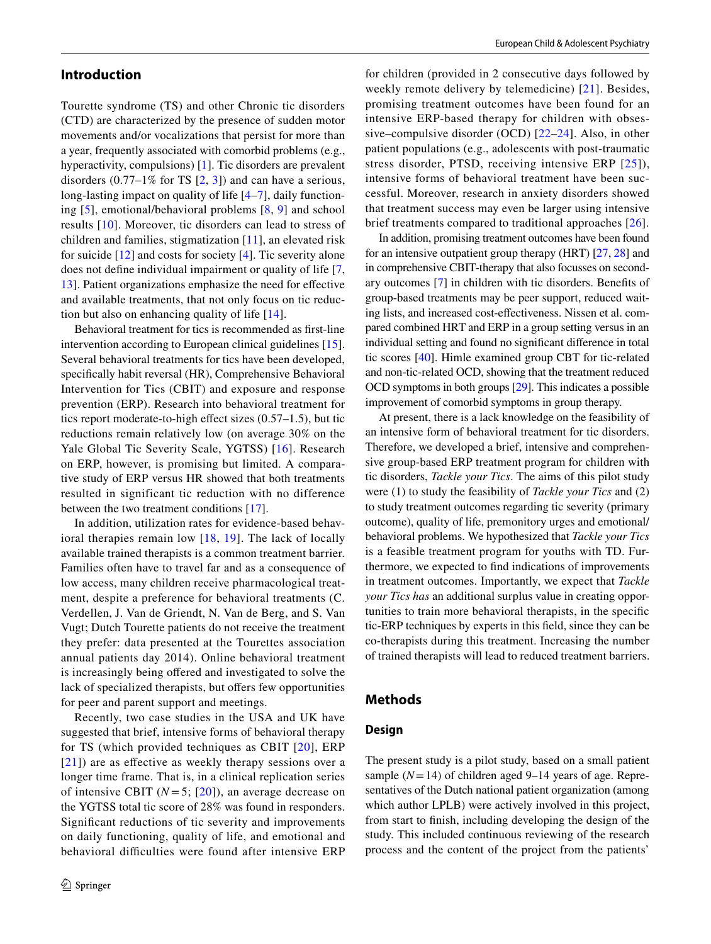### **Introduction**

Tourette syndrome (TS) and other Chronic tic disorders (CTD) are characterized by the presence of sudden motor movements and/or vocalizations that persist for more than a year, frequently associated with comorbid problems (e.g., hyperactivity, compulsions) [[1\]](#page-11-0). Tic disorders are prevalent disorders  $(0.77-1\%$  for TS  $[2, 3]$  $[2, 3]$  $[2, 3]$  and can have a serious, long-lasting impact on quality of life  $[4-7]$  $[4-7]$ , daily functioning [[5](#page-11-5)], emotional/behavioral problems [[8,](#page-11-6) [9\]](#page-11-7) and school results [[10](#page-11-8)]. Moreover, tic disorders can lead to stress of children and families, stigmatization [\[11\]](#page-11-9), an elevated risk for suicide [[12\]](#page-11-10) and costs for society [[4\]](#page-11-3). Tic severity alone does not defne individual impairment or quality of life [[7,](#page-11-4) [13](#page-11-11)]. Patient organizations emphasize the need for efective and available treatments, that not only focus on tic reduction but also on enhancing quality of life [[14](#page-11-12)].

Behavioral treatment for tics is recommended as frst-line intervention according to European clinical guidelines [\[15](#page-11-13)]. Several behavioral treatments for tics have been developed, specifcally habit reversal (HR), Comprehensive Behavioral Intervention for Tics (CBIT) and exposure and response prevention (ERP). Research into behavioral treatment for tics report moderate-to-high effect sizes  $(0.57-1.5)$ , but tic reductions remain relatively low (on average 30% on the Yale Global Tic Severity Scale, YGTSS) [\[16\]](#page-11-14). Research on ERP, however, is promising but limited. A comparative study of ERP versus HR showed that both treatments resulted in significant tic reduction with no difference between the two treatment conditions [\[17](#page-11-15)].

In addition, utilization rates for evidence-based behavioral therapies remain low [[18,](#page-11-16) [19](#page-12-0)]. The lack of locally available trained therapists is a common treatment barrier. Families often have to travel far and as a consequence of low access, many children receive pharmacological treatment, despite a preference for behavioral treatments (C. Verdellen, J. Van de Griendt, N. Van de Berg, and S. Van Vugt; Dutch Tourette patients do not receive the treatment they prefer: data presented at the Tourettes association annual patients day 2014). Online behavioral treatment is increasingly being ofered and investigated to solve the lack of specialized therapists, but offers few opportunities for peer and parent support and meetings.

Recently, two case studies in the USA and UK have suggested that brief, intensive forms of behavioral therapy for TS (which provided techniques as CBIT [[20](#page-12-1)], ERP [[21](#page-12-2)]) are as effective as weekly therapy sessions over a longer time frame. That is, in a clinical replication series of intensive CBIT  $(N=5; [20])$  $(N=5; [20])$  $(N=5; [20])$ , an average decrease on the YGTSS total tic score of 28% was found in responders. Signifcant reductions of tic severity and improvements on daily functioning, quality of life, and emotional and behavioral difficulties were found after intensive ERP for children (provided in 2 consecutive days followed by weekly remote delivery by telemedicine) [[21](#page-12-2)]. Besides, promising treatment outcomes have been found for an intensive ERP-based therapy for children with obsessive–compulsive disorder (OCD) [\[22–](#page-12-3)[24](#page-12-4)]. Also, in other patient populations (e.g., adolescents with post-traumatic stress disorder, PTSD, receiving intensive ERP [[25](#page-12-5)]), intensive forms of behavioral treatment have been successful. Moreover, research in anxiety disorders showed that treatment success may even be larger using intensive brief treatments compared to traditional approaches [\[26\]](#page-12-6).

In addition, promising treatment outcomes have been found for an intensive outpatient group therapy (HRT) [[27,](#page-12-7) [28](#page-12-8)] and in comprehensive CBIT-therapy that also focusses on secondary outcomes [[7\]](#page-11-4) in children with tic disorders. Benefts of group-based treatments may be peer support, reduced waiting lists, and increased cost-efectiveness. Nissen et al. compared combined HRT and ERP in a group setting versus in an individual setting and found no signifcant diference in total tic scores [[40\]](#page-12-9). Himle examined group CBT for tic-related and non-tic-related OCD, showing that the treatment reduced OCD symptoms in both groups [\[29](#page-12-10)]. This indicates a possible improvement of comorbid symptoms in group therapy.

At present, there is a lack knowledge on the feasibility of an intensive form of behavioral treatment for tic disorders. Therefore, we developed a brief, intensive and comprehensive group-based ERP treatment program for children with tic disorders, *Tackle your Tics*. The aims of this pilot study were (1) to study the feasibility of *Tackle your Tics* and (2) to study treatment outcomes regarding tic severity (primary outcome), quality of life, premonitory urges and emotional/ behavioral problems. We hypothesized that *Tackle your Tics* is a feasible treatment program for youths with TD. Furthermore, we expected to fnd indications of improvements in treatment outcomes. Importantly, we expect that *Tackle your Tics has* an additional surplus value in creating opportunities to train more behavioral therapists, in the specifc tic-ERP techniques by experts in this feld, since they can be co-therapists during this treatment. Increasing the number of trained therapists will lead to reduced treatment barriers.

### **Methods**

### **Design**

The present study is a pilot study, based on a small patient sample (*N*=14) of children aged 9–14 years of age. Representatives of the Dutch national patient organization (among which author LPLB) were actively involved in this project, from start to fnish, including developing the design of the study. This included continuous reviewing of the research process and the content of the project from the patients'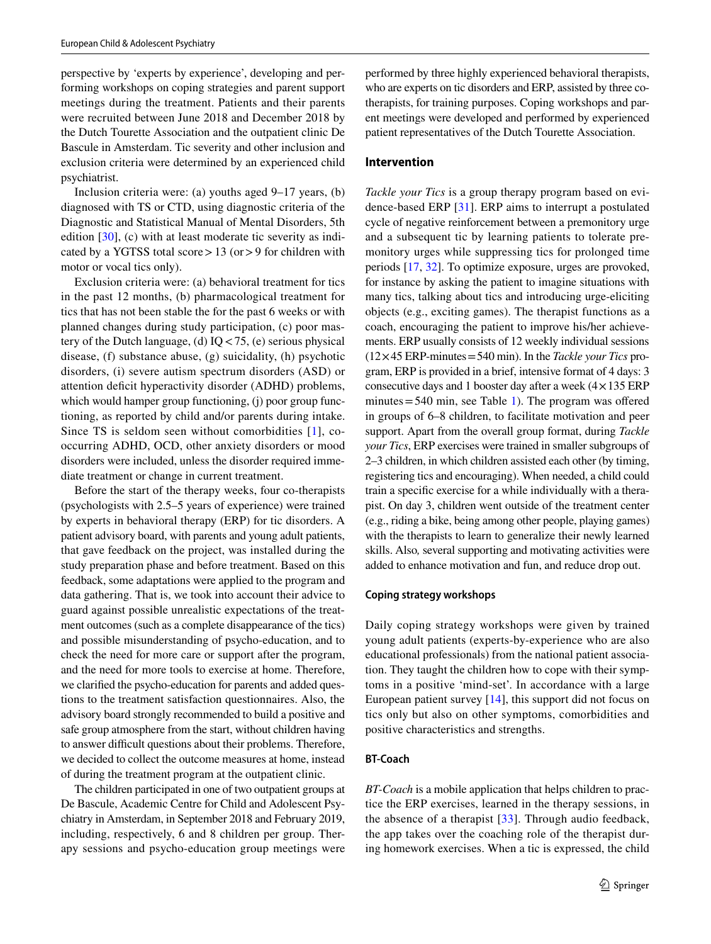perspective by 'experts by experience', developing and performing workshops on coping strategies and parent support meetings during the treatment. Patients and their parents were recruited between June 2018 and December 2018 by the Dutch Tourette Association and the outpatient clinic De Bascule in Amsterdam. Tic severity and other inclusion and exclusion criteria were determined by an experienced child psychiatrist.

Inclusion criteria were: (a) youths aged 9–17 years, (b) diagnosed with TS or CTD, using diagnostic criteria of the Diagnostic and Statistical Manual of Mental Disorders, 5th edition [\[30](#page-12-11)], (c) with at least moderate tic severity as indicated by a YGTSS total score  $> 13$  (or  $> 9$  for children with motor or vocal tics only).

Exclusion criteria were: (a) behavioral treatment for tics in the past 12 months, (b) pharmacological treatment for tics that has not been stable the for the past 6 weeks or with planned changes during study participation, (c) poor mastery of the Dutch language, (d)  $IQ < 75$ , (e) serious physical disease, (f) substance abuse, (g) suicidality, (h) psychotic disorders, (i) severe autism spectrum disorders (ASD) or attention deficit hyperactivity disorder (ADHD) problems, which would hamper group functioning, (j) poor group functioning, as reported by child and/or parents during intake. Since TS is seldom seen without comorbidities [[1](#page-11-0)], cooccurring ADHD, OCD, other anxiety disorders or mood disorders were included, unless the disorder required immediate treatment or change in current treatment.

Before the start of the therapy weeks, four co-therapists (psychologists with 2.5–5 years of experience) were trained by experts in behavioral therapy (ERP) for tic disorders. A patient advisory board, with parents and young adult patients, that gave feedback on the project, was installed during the study preparation phase and before treatment. Based on this feedback, some adaptations were applied to the program and data gathering. That is, we took into account their advice to guard against possible unrealistic expectations of the treatment outcomes (such as a complete disappearance of the tics) and possible misunderstanding of psycho-education, and to check the need for more care or support after the program, and the need for more tools to exercise at home. Therefore, we clarifed the psycho-education for parents and added questions to the treatment satisfaction questionnaires. Also, the advisory board strongly recommended to build a positive and safe group atmosphere from the start, without children having to answer difficult questions about their problems. Therefore, we decided to collect the outcome measures at home, instead of during the treatment program at the outpatient clinic.

The children participated in one of two outpatient groups at De Bascule, Academic Centre for Child and Adolescent Psychiatry in Amsterdam, in September 2018 and February 2019, including, respectively, 6 and 8 children per group. Therapy sessions and psycho-education group meetings were performed by three highly experienced behavioral therapists, who are experts on tic disorders and ERP, assisted by three cotherapists, for training purposes. Coping workshops and parent meetings were developed and performed by experienced patient representatives of the Dutch Tourette Association.

#### **Intervention**

*Tackle your Tics* is a group therapy program based on evidence-based ERP [[31\]](#page-12-12). ERP aims to interrupt a postulated cycle of negative reinforcement between a premonitory urge and a subsequent tic by learning patients to tolerate premonitory urges while suppressing tics for prolonged time periods [\[17](#page-11-15), [32](#page-12-13)]. To optimize exposure, urges are provoked, for instance by asking the patient to imagine situations with many tics, talking about tics and introducing urge-eliciting objects (e.g., exciting games). The therapist functions as a coach, encouraging the patient to improve his/her achievements. ERP usually consists of 12 weekly individual sessions (12×45 ERP-minutes=540 min). In the *Tackle your Tics* program, ERP is provided in a brief, intensive format of 4 days: 3 consecutive days and 1 booster day after a week  $(4 \times 135 \text{ ERP})$ minutes  $=$  540 min, see Table [1](#page-3-0)). The program was offered in groups of 6–8 children, to facilitate motivation and peer support. Apart from the overall group format, during *Tackle your Tics*, ERP exercises were trained in smaller subgroups of 2–3 children, in which children assisted each other (by timing, registering tics and encouraging). When needed, a child could train a specifc exercise for a while individually with a therapist. On day 3, children went outside of the treatment center (e.g., riding a bike, being among other people, playing games) with the therapists to learn to generalize their newly learned skills. Also*,* several supporting and motivating activities were added to enhance motivation and fun, and reduce drop out.

#### **Coping strategy workshops**

Daily coping strategy workshops were given by trained young adult patients (experts-by-experience who are also educational professionals) from the national patient association. They taught the children how to cope with their symptoms in a positive 'mind-set'. In accordance with a large European patient survey [\[14](#page-11-12)], this support did not focus on tics only but also on other symptoms, comorbidities and positive characteristics and strengths.

### **BT‑Coach**

*BT-Coach* is a mobile application that helps children to practice the ERP exercises, learned in the therapy sessions, in the absence of a therapist [\[33\]](#page-12-14). Through audio feedback, the app takes over the coaching role of the therapist during homework exercises. When a tic is expressed, the child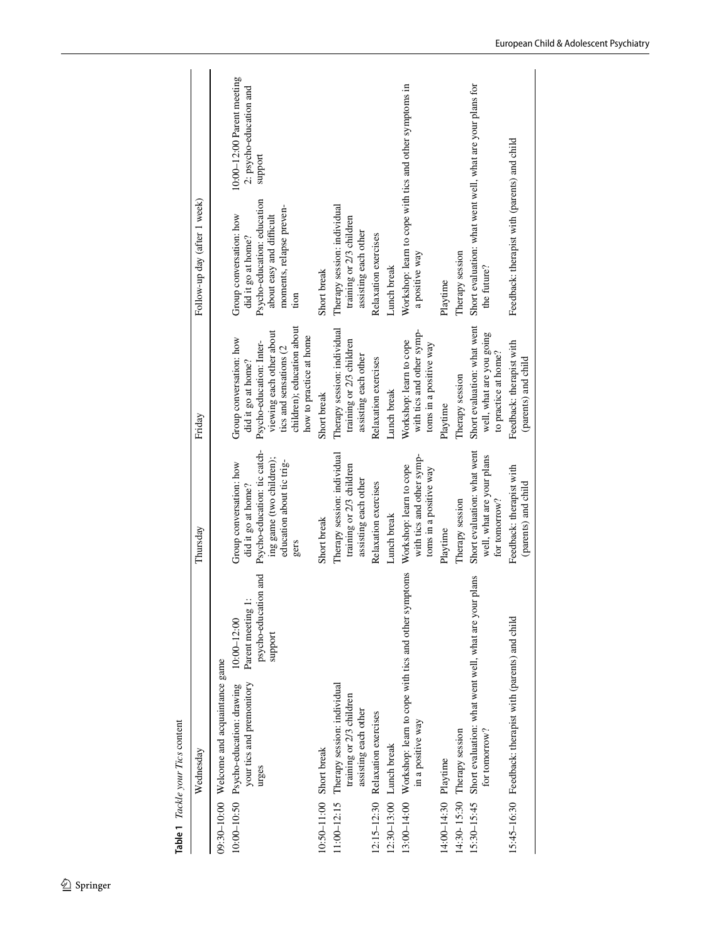<span id="page-3-0"></span>

|                      | Table 1 Tackle your Tics content                                                                                |                                      |                                                                                               |                                                                                                                                         |                                                                                             |                                                       |
|----------------------|-----------------------------------------------------------------------------------------------------------------|--------------------------------------|-----------------------------------------------------------------------------------------------|-----------------------------------------------------------------------------------------------------------------------------------------|---------------------------------------------------------------------------------------------|-------------------------------------------------------|
|                      | Wednesday                                                                                                       |                                      | Thursday                                                                                      | Friday                                                                                                                                  | Follow-up day (after 1 week)                                                                |                                                       |
|                      | 09:30-10:00 Welcome and acquaintance game<br>10:00-10:50 Psycho-education: drawing<br>your tics and premonitory | Parent meeting 1:<br>$10:00 - 12:00$ | Group conversation: how<br>did it go at home?                                                 | Group conversation: how<br>did it go at home?                                                                                           | Group conversation: how<br>did it go at home?                                               | 10:00-12:00 Parent meeting<br>2: psycho-education and |
|                      | urges                                                                                                           | psycho-education and<br>support      | Psycho-education: tic catch-<br>ing game (two children);<br>education about tic trig-<br>gers | children); education about<br>viewing each other about<br>how to practice at home<br>Psycho-education: Inter-<br>tics and sensations (2 | Psycho-education: education<br>moments, relapse preven-<br>about easy and difficult<br>tion | support                                               |
|                      | 10:50-11:00 Short break                                                                                         |                                      | Short break                                                                                   | Short break                                                                                                                             | Short break                                                                                 |                                                       |
| 11:00-12:15          | Therapy session: individual<br>training or 2/3 children<br>assisting each other                                 |                                      | Therapy session: individual<br>training or 2/3 children<br>assisting each other               | Therapy session: individual<br>training or 2/3 children<br>assisting each other                                                         | Therapy session: individual<br>training or 2/3 children<br>assisting each other             |                                                       |
|                      | 12:15-12:30 Relaxation exercises                                                                                |                                      | Relaxation exercises                                                                          | Relaxation exercises                                                                                                                    | Relaxation exercises                                                                        |                                                       |
|                      | 12:30-13:00 Lunch break                                                                                         |                                      | Lunch break                                                                                   | Lunch break                                                                                                                             | Lunch break                                                                                 |                                                       |
| $13:00 - 14:00$      | Workshop: learn to cope with tics and other symptoms<br>in a positive way                                       |                                      | with tics and other symp-<br>Workshop: learn to cope<br>toms in a positive way                | with tics and other symp-<br>Workshop: learn to cope<br>toms in a positive way                                                          | Workshop: learn to cope with tics and other symptoms in<br>a positive way                   |                                                       |
| 14:00-14:30 Playtime |                                                                                                                 |                                      | Playtime                                                                                      | Playtime                                                                                                                                | Playtime                                                                                    |                                                       |
|                      | 14:30-15:30 Therapy session                                                                                     |                                      | Therapy session                                                                               | Therapy session                                                                                                                         | Therapy session                                                                             |                                                       |
| $15:30 - 15:45$      | Short evaluation: what went well, what are your<br>for tomorrow?                                                | plans                                | Short evaluation: what went<br>well, what are your plans<br>for tomorrow?                     | Short evaluation: what went<br>well, what are you going<br>to practice at home?                                                         | Short evaluation: what went well, what are your plans for<br>the future?                    |                                                       |
|                      | 15:45-16:30 Feedback: therapist with (parents) and child                                                        |                                      | Feedback: therapist with<br>(parents) and child                                               | Feedback: therapist with<br>(parents) and child                                                                                         | Feedback: therapist with (parents) and child                                                |                                                       |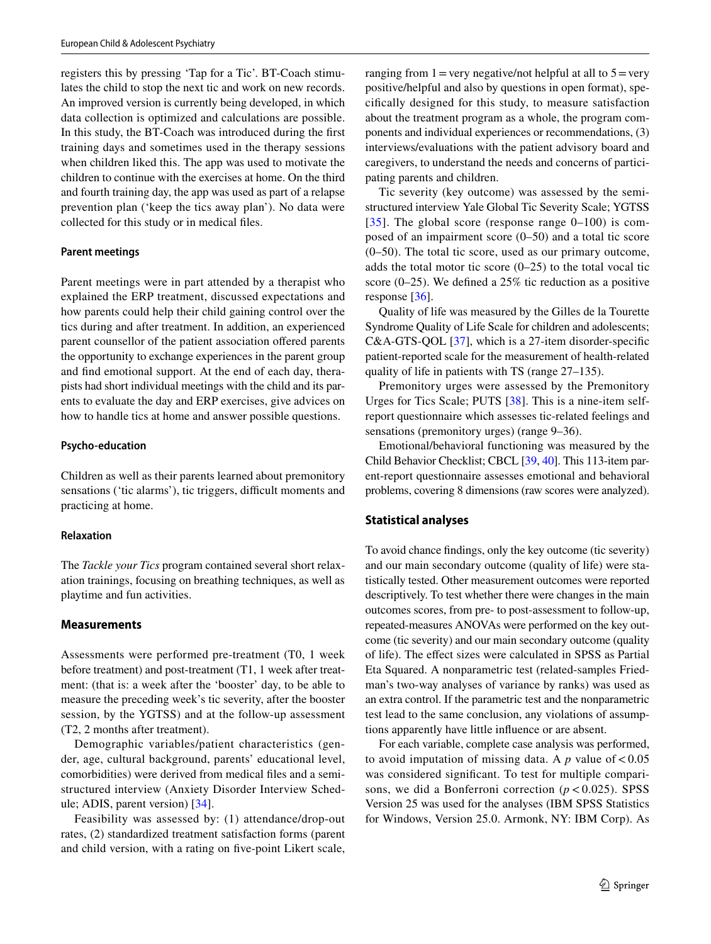registers this by pressing 'Tap for a Tic'. BT-Coach stimulates the child to stop the next tic and work on new records. An improved version is currently being developed, in which data collection is optimized and calculations are possible. In this study, the BT-Coach was introduced during the frst training days and sometimes used in the therapy sessions when children liked this. The app was used to motivate the children to continue with the exercises at home. On the third and fourth training day, the app was used as part of a relapse prevention plan ('keep the tics away plan'). No data were collected for this study or in medical fles.

#### **Parent meetings**

Parent meetings were in part attended by a therapist who explained the ERP treatment, discussed expectations and how parents could help their child gaining control over the tics during and after treatment. In addition, an experienced parent counsellor of the patient association ofered parents the opportunity to exchange experiences in the parent group and fnd emotional support. At the end of each day, therapists had short individual meetings with the child and its parents to evaluate the day and ERP exercises, give advices on how to handle tics at home and answer possible questions.

#### **Psycho‑education**

Children as well as their parents learned about premonitory sensations ('tic alarms'), tic triggers, difficult moments and practicing at home.

### **Relaxation**

The *Tackle your Tics* program contained several short relaxation trainings, focusing on breathing techniques, as well as playtime and fun activities.

### **Measurements**

Assessments were performed pre-treatment (T0, 1 week before treatment) and post-treatment (T1, 1 week after treatment: (that is: a week after the 'booster' day, to be able to measure the preceding week's tic severity, after the booster session, by the YGTSS) and at the follow-up assessment (T2, 2 months after treatment).

Demographic variables/patient characteristics (gender, age, cultural background, parents' educational level, comorbidities) were derived from medical fles and a semistructured interview (Anxiety Disorder Interview Schedule; ADIS, parent version) [[34\]](#page-12-15).

Feasibility was assessed by: (1) attendance/drop-out rates, (2) standardized treatment satisfaction forms (parent and child version, with a rating on fve-point Likert scale,

ranging from  $1 = \text{very negative/not helpful at all to } 5 = \text{very}$ positive/helpful and also by questions in open format), specifcally designed for this study, to measure satisfaction about the treatment program as a whole, the program components and individual experiences or recommendations, (3) interviews/evaluations with the patient advisory board and caregivers, to understand the needs and concerns of participating parents and children.

Tic severity (key outcome) was assessed by the semistructured interview Yale Global Tic Severity Scale; YGTSS [[35](#page-12-16)]. The global score (response range  $0-100$ ) is composed of an impairment score (0–50) and a total tic score (0–50). The total tic score, used as our primary outcome, adds the total motor tic score  $(0-25)$  to the total vocal tic score (0–25). We defned a 25% tic reduction as a positive response [\[36](#page-12-17)].

Quality of life was measured by the Gilles de la Tourette Syndrome Quality of Life Scale for children and adolescents; C&A-GTS-QOL [\[37](#page-12-18)], which is a 27-item disorder-specifc patient-reported scale for the measurement of health-related quality of life in patients with TS (range 27–135).

Premonitory urges were assessed by the Premonitory Urges for Tics Scale; PUTS [[38](#page-12-19)]. This is a nine-item selfreport questionnaire which assesses tic-related feelings and sensations (premonitory urges) (range 9–36).

Emotional/behavioral functioning was measured by the Child Behavior Checklist; CBCL [\[39,](#page-12-20) [40](#page-12-9)]. This 113-item parent-report questionnaire assesses emotional and behavioral problems, covering 8 dimensions (raw scores were analyzed).

### **Statistical analyses**

To avoid chance fndings, only the key outcome (tic severity) and our main secondary outcome (quality of life) were statistically tested. Other measurement outcomes were reported descriptively. To test whether there were changes in the main outcomes scores, from pre- to post-assessment to follow-up, repeated-measures ANOVAs were performed on the key outcome (tic severity) and our main secondary outcome (quality of life). The efect sizes were calculated in SPSS as Partial Eta Squared. A nonparametric test (related-samples Friedman's two-way analyses of variance by ranks) was used as an extra control. If the parametric test and the nonparametric test lead to the same conclusion, any violations of assumptions apparently have little infuence or are absent.

For each variable, complete case analysis was performed, to avoid imputation of missing data. A  $p$  value of  $< 0.05$ was considered signifcant. To test for multiple comparisons, we did a Bonferroni correction (*p* < 0.025). SPSS Version 25 was used for the analyses (IBM SPSS Statistics for Windows, Version 25.0. Armonk, NY: IBM Corp). As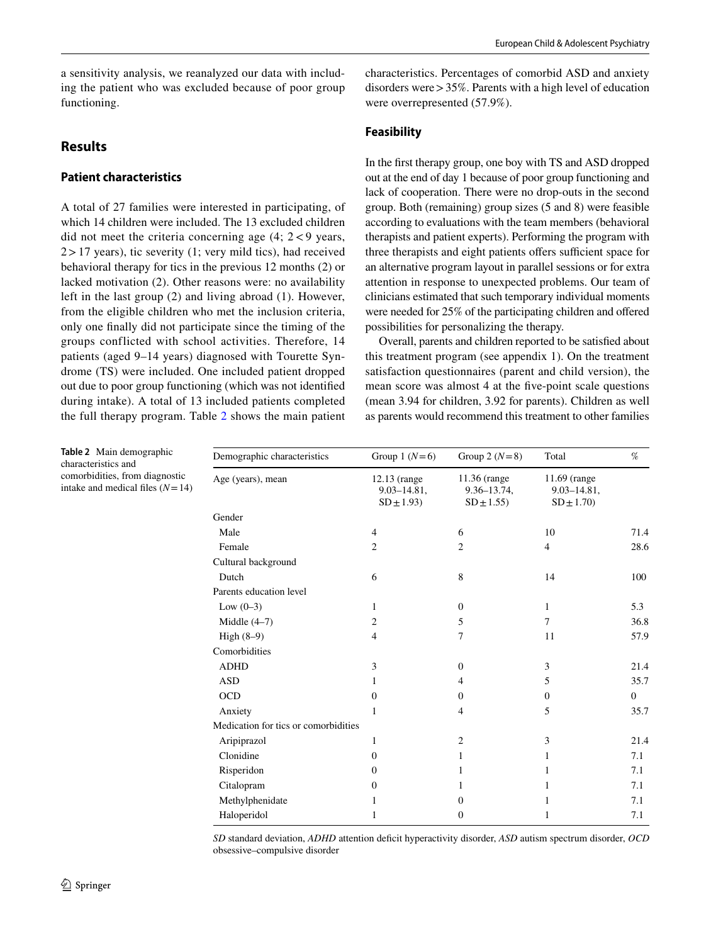a sensitivity analysis, we reanalyzed our data with including the patient who was excluded because of poor group functioning.

### **Results**

### **Patient characteristics**

A total of 27 families were interested in participating, of which 14 children were included. The 13 excluded children did not meet the criteria concerning age  $(4; 2<9)$  years,  $2 > 17$  years), tic severity (1; very mild tics), had received behavioral therapy for tics in the previous 12 months (2) or lacked motivation (2). Other reasons were: no availability left in the last group (2) and living abroad (1). However, from the eligible children who met the inclusion criteria, only one fnally did not participate since the timing of the groups conflicted with school activities. Therefore, 14 patients (aged 9–14 years) diagnosed with Tourette Syndrome (TS) were included. One included patient dropped out due to poor group functioning (which was not identifed during intake). A total of 13 included patients completed the full therapy program. Table [2](#page-5-0) shows the main patient characteristics. Percentages of comorbid ASD and anxiety disorders were>35%. Parents with a high level of education were overrepresented (57.9%).

### **Feasibility**

In the frst therapy group, one boy with TS and ASD dropped out at the end of day 1 because of poor group functioning and lack of cooperation. There were no drop-outs in the second group. Both (remaining) group sizes (5 and 8) were feasible according to evaluations with the team members (behavioral therapists and patient experts). Performing the program with three therapists and eight patients offers sufficient space for an alternative program layout in parallel sessions or for extra attention in response to unexpected problems. Our team of clinicians estimated that such temporary individual moments were needed for 25% of the participating children and ofered possibilities for personalizing the therapy.

Overall, parents and children reported to be satisfed about this treatment program (see appendix 1). On the treatment satisfaction questionnaires (parent and child version), the mean score was almost 4 at the fve-point scale questions (mean 3.94 for children, 3.92 for parents). Children as well as parents would recommend this treatment to other families

| Demographic characteristics          | Group 1 $(N=6)$                                     | Group 2 $(N=8)$                                  | Total                                             | %                |
|--------------------------------------|-----------------------------------------------------|--------------------------------------------------|---------------------------------------------------|------------------|
| Age (years), mean                    | $12.13$ (range<br>$9.03 - 14.81$ ,<br>$SD \pm 1.93$ | 11.36 (range)<br>$9.36 - 13.74$ ,<br>$SD + 1.55$ | 11.69 (range<br>$9.03 - 14.81$ ,<br>$SD \pm 1.70$ |                  |
| Gender                               |                                                     |                                                  |                                                   |                  |
| Male                                 | $\overline{4}$                                      | 6                                                | 10                                                | 71.4             |
| Female                               | $\overline{c}$                                      | $\overline{2}$                                   | 4                                                 | 28.6             |
| Cultural background                  |                                                     |                                                  |                                                   |                  |
| Dutch                                | 6                                                   | 8                                                | 14                                                | 100              |
| Parents education level              |                                                     |                                                  |                                                   |                  |
| Low $(0-3)$                          | 1                                                   | $\boldsymbol{0}$                                 | $\mathbf{1}$                                      | 5.3              |
| Middle $(4-7)$                       | $\overline{c}$                                      | 5                                                | 7                                                 | 36.8             |
| High $(8-9)$                         | $\overline{4}$                                      | 7                                                | 11                                                | 57.9             |
| Comorbidities                        |                                                     |                                                  |                                                   |                  |
| <b>ADHD</b>                          | 3                                                   | $\mathbf{0}$                                     | 3                                                 | 21.4             |
| <b>ASD</b>                           | 1                                                   | $\overline{4}$                                   | 5                                                 | 35.7             |
| <b>OCD</b>                           | $\mathbf{0}$                                        | $\overline{0}$                                   | $\theta$                                          | $\boldsymbol{0}$ |
| Anxiety                              | 1                                                   | $\overline{4}$                                   | 5                                                 | 35.7             |
| Medication for tics or comorbidities |                                                     |                                                  |                                                   |                  |
| Aripiprazol                          | 1                                                   | $\overline{2}$                                   | 3                                                 | 21.4             |
| Clonidine                            | $\mathbf{0}$                                        | 1                                                | 1                                                 | 7.1              |
| Risperidon                           | $\Omega$                                            | 1                                                | 1                                                 | 7.1              |
| Citalopram                           | $\Omega$                                            | 1                                                | 1                                                 | 7.1              |
| Methylphenidate                      | 1                                                   | $\theta$                                         | 1                                                 | 7.1              |
| Haloperidol                          | 1                                                   | $\mathbf{0}$                                     | 1                                                 | 7.1              |

*SD* standard deviation, *ADHD* attention defcit hyperactivity disorder, *ASD* autism spectrum disorder, *OCD* obsessive–compulsive disorder

<span id="page-5-0"></span>**Table 2** Main demographic characteristics and comorbidities, from diagnostic intake and medical fles (*N*=14)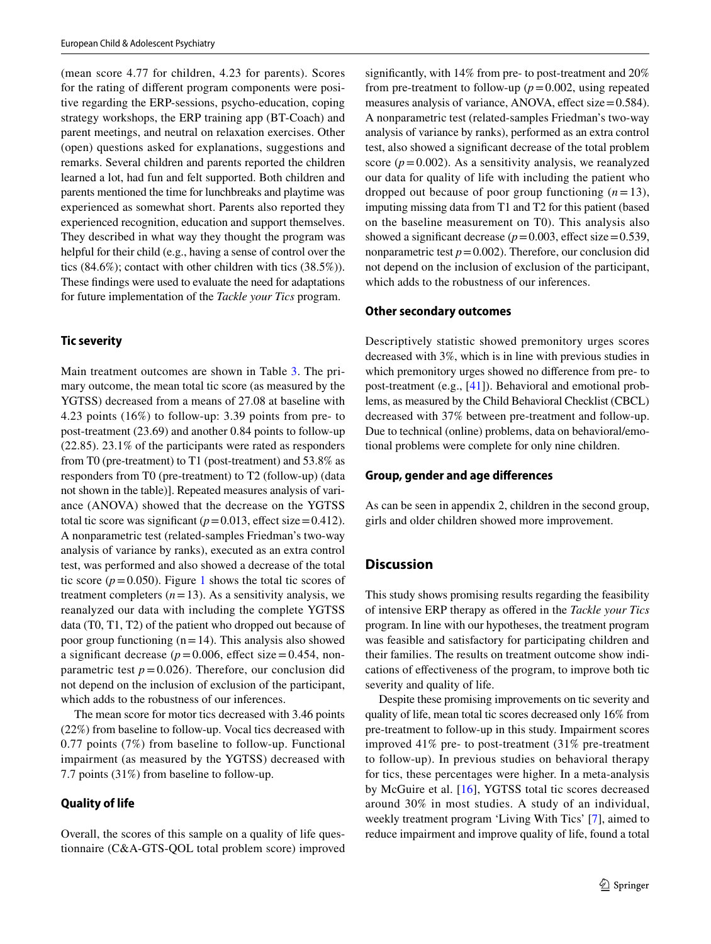(mean score 4.77 for children, 4.23 for parents). Scores for the rating of diferent program components were positive regarding the ERP-sessions, psycho-education, coping strategy workshops, the ERP training app (BT-Coach) and parent meetings, and neutral on relaxation exercises. Other (open) questions asked for explanations, suggestions and remarks. Several children and parents reported the children learned a lot, had fun and felt supported. Both children and parents mentioned the time for lunchbreaks and playtime was experienced as somewhat short. Parents also reported they experienced recognition, education and support themselves. They described in what way they thought the program was helpful for their child (e.g., having a sense of control over the tics (84.6%); contact with other children with tics (38.5%)). These fndings were used to evaluate the need for adaptations for future implementation of the *Tackle your Tics* program.

### **Tic severity**

Main treatment outcomes are shown in Table [3](#page-7-0). The primary outcome, the mean total tic score (as measured by the YGTSS) decreased from a means of 27.08 at baseline with 4.23 points (16%) to follow-up: 3.39 points from pre- to post-treatment (23.69) and another 0.84 points to follow-up (22.85). 23.1% of the participants were rated as responders from T0 (pre-treatment) to T1 (post-treatment) and 53.8% as responders from T0 (pre-treatment) to T2 (follow-up) (data not shown in the table)]. Repeated measures analysis of variance (ANOVA) showed that the decrease on the YGTSS total tic score was significant ( $p=0.013$ , effect size = 0.412). A nonparametric test (related-samples Friedman's two-way analysis of variance by ranks), executed as an extra control test, was performed and also showed a decrease of the total tic score ( $p = 0.050$ ). Figure [1](#page-8-0) shows the total tic scores of treatment completers  $(n=13)$ . As a sensitivity analysis, we reanalyzed our data with including the complete YGTSS data (T0, T1, T2) of the patient who dropped out because of poor group functioning  $(n=14)$ . This analysis also showed a significant decrease ( $p = 0.006$ , effect size = 0.454, nonparametric test  $p = 0.026$ ). Therefore, our conclusion did not depend on the inclusion of exclusion of the participant, which adds to the robustness of our inferences.

The mean score for motor tics decreased with 3.46 points (22%) from baseline to follow-up. Vocal tics decreased with 0.77 points (7%) from baseline to follow-up. Functional impairment (as measured by the YGTSS) decreased with 7.7 points (31%) from baseline to follow-up.

### **Quality of life**

Overall, the scores of this sample on a quality of life questionnaire (C&A-GTS-QOL total problem score) improved signifcantly, with 14% from pre- to post-treatment and 20% from pre-treatment to follow-up  $(p=0.002,$  using repeated measures analysis of variance, ANOVA, effect size  $= 0.584$ . A nonparametric test (related-samples Friedman's two-way analysis of variance by ranks), performed as an extra control test, also showed a signifcant decrease of the total problem score  $(p=0.002)$ . As a sensitivity analysis, we reanalyzed our data for quality of life with including the patient who dropped out because of poor group functioning (*n*=13), imputing missing data from T1 and T2 for this patient (based on the baseline measurement on T0). This analysis also showed a significant decrease  $(p=0.003,$  effect size = 0.539, nonparametric test  $p = 0.002$ ). Therefore, our conclusion did not depend on the inclusion of exclusion of the participant, which adds to the robustness of our inferences.

### **Other secondary outcomes**

Descriptively statistic showed premonitory urges scores decreased with 3%, which is in line with previous studies in which premonitory urges showed no diference from pre- to post-treatment (e.g., [[41\]](#page-12-21)). Behavioral and emotional problems, as measured by the Child Behavioral Checklist (CBCL) decreased with 37% between pre-treatment and follow-up. Due to technical (online) problems, data on behavioral/emotional problems were complete for only nine children.

#### **Group, gender and age diferences**

As can be seen in appendix 2, children in the second group, girls and older children showed more improvement.

### **Discussion**

This study shows promising results regarding the feasibility of intensive ERP therapy as ofered in the *Tackle your Tics* program. In line with our hypotheses, the treatment program was feasible and satisfactory for participating children and their families. The results on treatment outcome show indications of efectiveness of the program, to improve both tic severity and quality of life.

Despite these promising improvements on tic severity and quality of life, mean total tic scores decreased only 16% from pre-treatment to follow-up in this study. Impairment scores improved 41% pre- to post-treatment (31% pre-treatment to follow-up). In previous studies on behavioral therapy for tics, these percentages were higher. In a meta-analysis by McGuire et al. [\[16](#page-11-14)], YGTSS total tic scores decreased around 30% in most studies. A study of an individual, weekly treatment program 'Living With Tics' [[7](#page-11-4)], aimed to reduce impairment and improve quality of life, found a total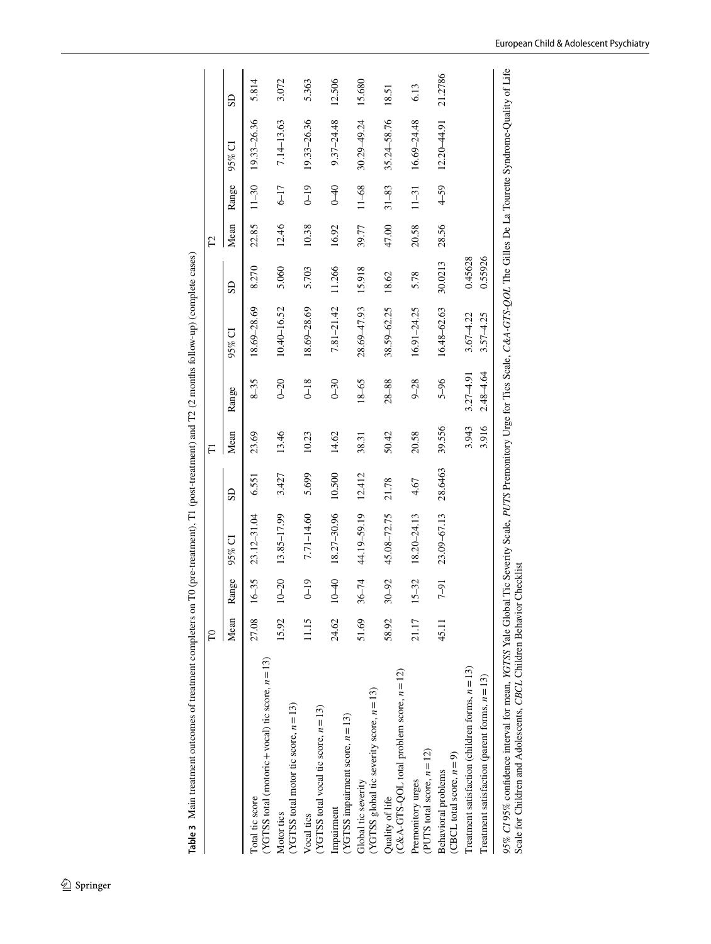|                                                                                                                                                                                    | 50    |           |                 |         | F              |                                |                                |                    | Ľ     |           |                 |                         |
|------------------------------------------------------------------------------------------------------------------------------------------------------------------------------------|-------|-----------|-----------------|---------|----------------|--------------------------------|--------------------------------|--------------------|-------|-----------|-----------------|-------------------------|
|                                                                                                                                                                                    | Mean  | Range     | $95\%$ CI       | GS      | Mean           | Range                          | $95\%$ CI                      | SD <sub>1</sub>    | Mean  | Range     | $95\%$ CI       | $\overline{\mathbf{S}}$ |
| (YGTSS total (motoric + vocal) tic score, $n = 13$ )<br>Total tic score                                                                                                            | 27.08 | $16 - 35$ | 23.12-31.04     | 6.551   | 23.69          | $8 - 35$                       | 18.69-28.69                    | 8.270              | 22.85 | $11 - 30$ | 19.33-26.36     | 5.814                   |
| $(YGTSS)$ total motor tic score, $n = 13$ )<br>Motor tics                                                                                                                          | 15.92 | $0 - 20$  | 13.85-17.99     | 3.427   | 13.46          | $0 - 20$                       | $10.40 - 16.52$                | 5.060              | 12.46 | $6 - 17$  | $7.14 - 13.63$  | 3.072                   |
| (YGTSS total vocal tic score, $n = 13$ )<br>Vocal tics                                                                                                                             | 11.15 | $0 - 19$  | 7.71-14.60      | 5.699   | 10.23          | $0 - 18$                       | 18.69-28.69                    | 5.703              | 10.38 | $0-19$    | 19.33-26.36     | 5.363                   |
| (YGTSS impairment score, $n = 13$ )<br>Impairment                                                                                                                                  | 24.62 | $10 - 40$ | $18.27 - 30.96$ | 10.500  | 14.62          | $0 - 30$                       | $7.81 - 21.42$                 | 11.266             | 16.92 | $0 - 40$  | $9.37 - 24.48$  | 12.506                  |
| (YGTSS global tic severity score, $n = 13$ )<br>Global tic severity                                                                                                                | 51.69 | $36 - 74$ | 44.19-59.19     | 12.412  | 38.31          | $18 - 65$                      | 28.69-47.93                    | 15.918             | 39.77 | $11 - 68$ | 30.29-49.24     | 15.680                  |
| $(C&A-GTS-QOL$ total problem score, $n=12$ )<br>Quality of life                                                                                                                    | 58.92 | $30 - 92$ | 45.08-72.75     | 21.78   | 50.42          | $28 - 88$                      | 38.59-62.25                    | 18.62              | 47.00 | $31 - 83$ | 35.24-58.76     | 18.51                   |
| (PUTS total score, $n = 12$ )<br>Premonitory urges                                                                                                                                 | 21.17 | $15 - 32$ | $18.20 - 24.13$ | 4.67    | 20.58          | $9 - 28$                       | 16.91-24.25                    | 5.78               | 20.58 | $11 - 31$ | 16.69-24.48     | 6.13                    |
| (CBCL total score, $n=9$ )<br>Behavioral problems                                                                                                                                  | 45.11 | $7 - 91$  | 23.09-67.13     | 28.6463 | 39.556         | $5 - 96$                       | 16.48-62.63                    | 30.0213            | 28.56 | $4 - 59$  | $12.20 - 44.91$ | 21.2786                 |
| Treatment satisfaction (children forms, $n = 13$ )<br>Treatment satisfaction (parent forms, $n = 13$ )                                                                             |       |           |                 |         | 3.943<br>3.916 | $2.48 - 4.64$<br>$3.27 - 4.91$ | $3.67 - 4.22$<br>$3.57 - 4.25$ | 0.55926<br>0.45628 |       |           |                 |                         |
| 95% C195% confidence interval for mean, YGTSS Yale Global Tic Severity Scale, PUTS Premonitory Urge for Tics Scale, C&A-GTS-QOL The Gilles De La Tourette Syndrome-Quality of Life |       |           |                 |         |                |                                |                                |                    |       |           |                 |                         |

s, Scale for Children and Adolescents, CBCL Children Behavior Checklist Scale for Children and Adolescents, *CBCL* Children Behavior Checklist

<span id="page-7-0"></span>**Table 3** Main treatment outcomes of treatment completers on T0 (pre-treatment), T1 (post-treatment) and T2 (2 months follow-up) (complete cases)

Table 3 Main treatment outcomes of treatment completers on T0 (pre-treatment), T1 (post-treatment) and T2 (2 months follow-up) (complete cases)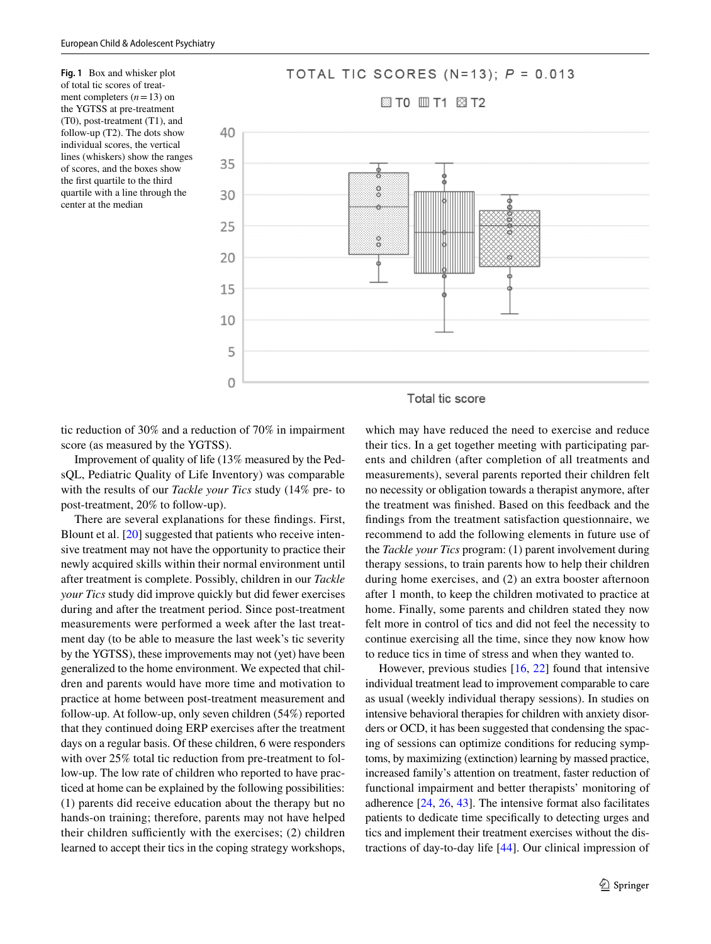<span id="page-8-0"></span>**Fig. 1** Box and whisker plot of total tic scores of treatment completers  $(n=13)$  on the YGTSS at pre-treatment (T0), post-treatment (T1), and follow-up (T2). The dots show individual scores, the vertical lines (whiskers) show the ranges of scores, and the boxes show the frst quartile to the third quartile with a line through the center at the median



tic reduction of 30% and a reduction of 70% in impairment score (as measured by the YGTSS).

Improvement of quality of life (13% measured by the PedsQL, Pediatric Quality of Life Inventory) was comparable with the results of our *Tackle your Tics* study (14% pre- to post-treatment, 20% to follow-up).

There are several explanations for these fndings. First, Blount et al. [[20\]](#page-12-1) suggested that patients who receive intensive treatment may not have the opportunity to practice their newly acquired skills within their normal environment until after treatment is complete. Possibly, children in our *Tackle your Tics* study did improve quickly but did fewer exercises during and after the treatment period. Since post-treatment measurements were performed a week after the last treatment day (to be able to measure the last week's tic severity by the YGTSS), these improvements may not (yet) have been generalized to the home environment. We expected that children and parents would have more time and motivation to practice at home between post-treatment measurement and follow-up. At follow-up, only seven children (54%) reported that they continued doing ERP exercises after the treatment days on a regular basis. Of these children, 6 were responders with over 25% total tic reduction from pre-treatment to follow-up. The low rate of children who reported to have practiced at home can be explained by the following possibilities: (1) parents did receive education about the therapy but no hands-on training; therefore, parents may not have helped their children sufficiently with the exercises;  $(2)$  children learned to accept their tics in the coping strategy workshops,

which may have reduced the need to exercise and reduce their tics. In a get together meeting with participating parents and children (after completion of all treatments and measurements), several parents reported their children felt no necessity or obligation towards a therapist anymore, after the treatment was fnished. Based on this feedback and the fndings from the treatment satisfaction questionnaire, we recommend to add the following elements in future use of the *Tackle your Tics* program: (1) parent involvement during therapy sessions, to train parents how to help their children during home exercises, and (2) an extra booster afternoon after 1 month, to keep the children motivated to practice at home. Finally, some parents and children stated they now felt more in control of tics and did not feel the necessity to continue exercising all the time, since they now know how to reduce tics in time of stress and when they wanted to.

However, previous studies [\[16](#page-11-14), [22\]](#page-12-3) found that intensive individual treatment lead to improvement comparable to care as usual (weekly individual therapy sessions). In studies on intensive behavioral therapies for children with anxiety disorders or OCD, it has been suggested that condensing the spacing of sessions can optimize conditions for reducing symptoms, by maximizing (extinction) learning by massed practice, increased family's attention on treatment, faster reduction of functional impairment and better therapists' monitoring of adherence [\[24](#page-12-4), [26,](#page-12-6) [43\]](#page-12-22). The intensive format also facilitates patients to dedicate time specifcally to detecting urges and tics and implement their treatment exercises without the distractions of day-to-day life [[44\]](#page-12-23). Our clinical impression of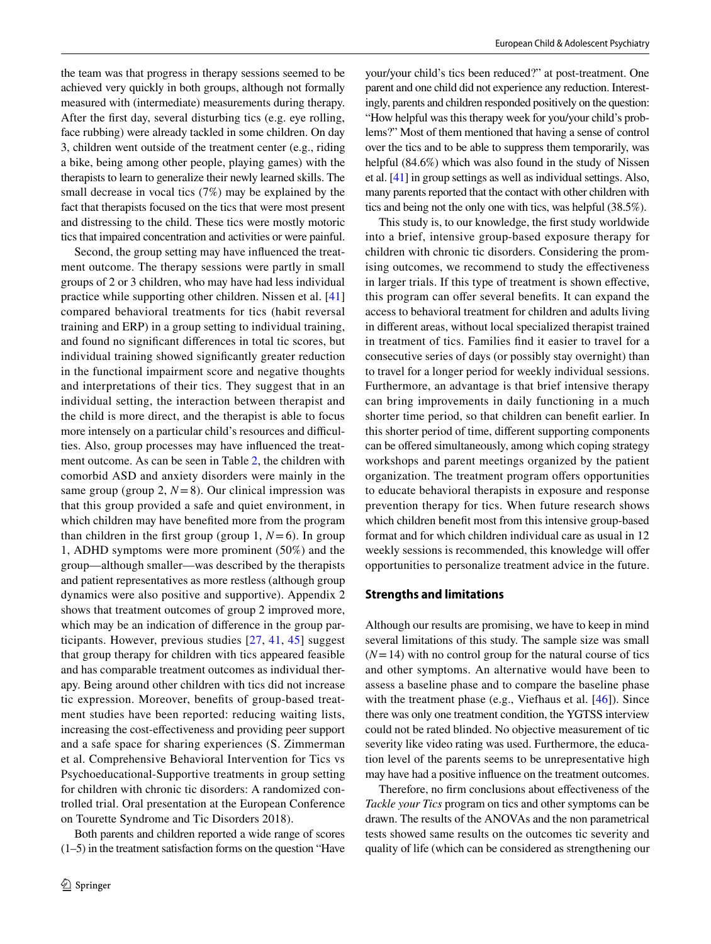the team was that progress in therapy sessions seemed to be achieved very quickly in both groups, although not formally measured with (intermediate) measurements during therapy. After the frst day, several disturbing tics (e.g. eye rolling, face rubbing) were already tackled in some children. On day 3, children went outside of the treatment center (e.g., riding a bike, being among other people, playing games) with the therapists to learn to generalize their newly learned skills. The small decrease in vocal tics (7%) may be explained by the fact that therapists focused on the tics that were most present and distressing to the child. These tics were mostly motoric tics that impaired concentration and activities or were painful.

Second, the group setting may have infuenced the treatment outcome. The therapy sessions were partly in small groups of 2 or 3 children, who may have had less individual practice while supporting other children. Nissen et al. [[41\]](#page-12-21) compared behavioral treatments for tics (habit reversal training and ERP) in a group setting to individual training, and found no signifcant diferences in total tic scores, but individual training showed signifcantly greater reduction in the functional impairment score and negative thoughts and interpretations of their tics. They suggest that in an individual setting, the interaction between therapist and the child is more direct, and the therapist is able to focus more intensely on a particular child's resources and difficulties. Also, group processes may have infuenced the treatment outcome. As can be seen in Table [2,](#page-5-0) the children with comorbid ASD and anxiety disorders were mainly in the same group (group 2,  $N=8$ ). Our clinical impression was that this group provided a safe and quiet environment, in which children may have benefted more from the program than children in the first group (group  $1, N=6$ ). In group 1, ADHD symptoms were more prominent (50%) and the group—although smaller—was described by the therapists and patient representatives as more restless (although group dynamics were also positive and supportive). Appendix 2 shows that treatment outcomes of group 2 improved more, which may be an indication of difference in the group participants. However, previous studies [[27,](#page-12-7) [41,](#page-12-21) [45\]](#page-12-24) suggest that group therapy for children with tics appeared feasible and has comparable treatment outcomes as individual therapy. Being around other children with tics did not increase tic expression. Moreover, benefts of group-based treatment studies have been reported: reducing waiting lists, increasing the cost-efectiveness and providing peer support and a safe space for sharing experiences (S. Zimmerman et al. Comprehensive Behavioral Intervention for Tics vs Psychoeducational-Supportive treatments in group setting for children with chronic tic disorders: A randomized controlled trial. Oral presentation at the European Conference on Tourette Syndrome and Tic Disorders 2018).

Both parents and children reported a wide range of scores (1–5) in the treatment satisfaction forms on the question "Have

your/your child's tics been reduced?" at post-treatment. One parent and one child did not experience any reduction. Interestingly, parents and children responded positively on the question: "How helpful was this therapy week for you/your child's problems?" Most of them mentioned that having a sense of control over the tics and to be able to suppress them temporarily, was helpful (84.6%) which was also found in the study of Nissen et al. [[41](#page-12-21)] in group settings as well as individual settings. Also, many parents reported that the contact with other children with tics and being not the only one with tics, was helpful (38.5%).

This study is, to our knowledge, the frst study worldwide into a brief, intensive group-based exposure therapy for children with chronic tic disorders. Considering the promising outcomes, we recommend to study the effectiveness in larger trials. If this type of treatment is shown efective, this program can offer several benefits. It can expand the access to behavioral treatment for children and adults living in diferent areas, without local specialized therapist trained in treatment of tics. Families fnd it easier to travel for a consecutive series of days (or possibly stay overnight) than to travel for a longer period for weekly individual sessions. Furthermore, an advantage is that brief intensive therapy can bring improvements in daily functioning in a much shorter time period, so that children can beneft earlier. In this shorter period of time, diferent supporting components can be offered simultaneously, among which coping strategy workshops and parent meetings organized by the patient organization. The treatment program offers opportunities to educate behavioral therapists in exposure and response prevention therapy for tics. When future research shows which children beneft most from this intensive group-based format and for which children individual care as usual in 12 weekly sessions is recommended, this knowledge will offer opportunities to personalize treatment advice in the future.

#### **Strengths and limitations**

Although our results are promising, we have to keep in mind several limitations of this study. The sample size was small  $(N=14)$  with no control group for the natural course of tics and other symptoms. An alternative would have been to assess a baseline phase and to compare the baseline phase with the treatment phase (e.g., Viefhaus et al. [\[46](#page-12-25)]). Since there was only one treatment condition, the YGTSS interview could not be rated blinded. No objective measurement of tic severity like video rating was used. Furthermore, the education level of the parents seems to be unrepresentative high may have had a positive infuence on the treatment outcomes.

Therefore, no frm conclusions about efectiveness of the *Tackle your Tics* program on tics and other symptoms can be drawn. The results of the ANOVAs and the non parametrical tests showed same results on the outcomes tic severity and quality of life (which can be considered as strengthening our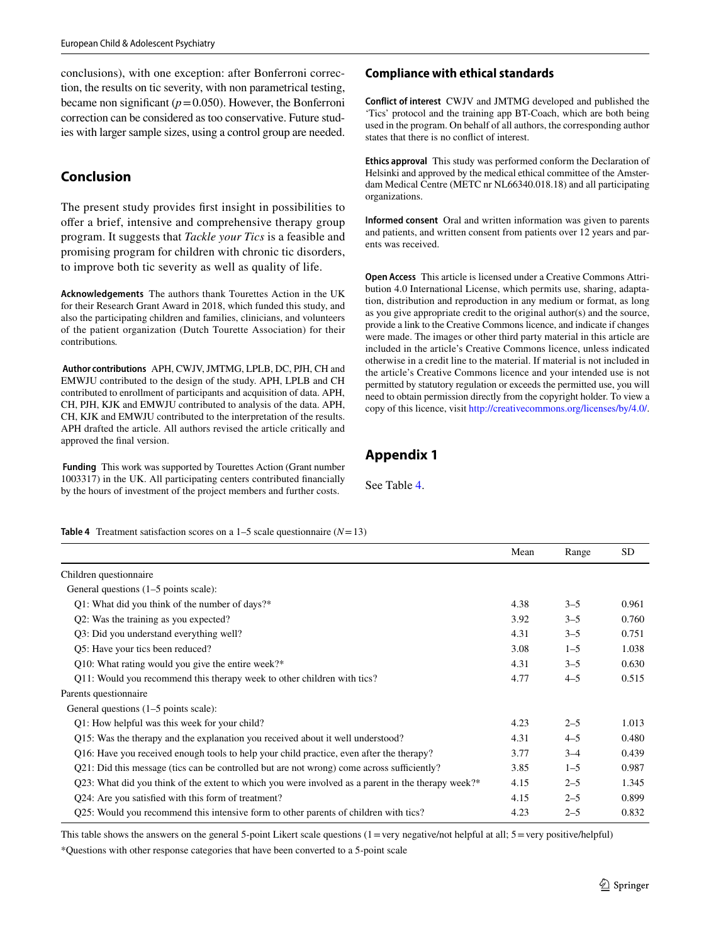conclusions), with one exception: after Bonferroni correction, the results on tic severity, with non parametrical testing, became non significant  $(p=0.050)$ . However, the Bonferroni correction can be considered as too conservative. Future studies with larger sample sizes, using a control group are needed.

# **Conclusion**

The present study provides frst insight in possibilities to offer a brief, intensive and comprehensive therapy group program. It suggests that *Tackle your Tics* is a feasible and promising program for children with chronic tic disorders, to improve both tic severity as well as quality of life.

**Acknowledgements** The authors thank Tourettes Action in the UK for their Research Grant Award in 2018, which funded this study, and also the participating children and families, clinicians, and volunteers of the patient organization (Dutch Tourette Association) for their contributions*.*

 **Author contributions** APH, CWJV, JMTMG, LPLB, DC, PJH, CH and EMWJU contributed to the design of the study. APH, LPLB and CH contributed to enrollment of participants and acquisition of data. APH, CH, PJH, KJK and EMWJU contributed to analysis of the data. APH, CH, KJK and EMWJU contributed to the interpretation of the results. APH drafted the article. All authors revised the article critically and approved the fnal version.

Funding This work was supported by Tourettes Action (Grant number 1003317) in the UK. All participating centers contributed fnancially by the hours of investment of the project members and further costs.

### **Compliance with ethical standards**

**Conflict of interest** CWJV and JMTMG developed and published the 'Tics' protocol and the training app BT-Coach, which are both being used in the program. On behalf of all authors, the corresponding author states that there is no confict of interest.

**Ethics approval** This study was performed conform the Declaration of Helsinki and approved by the medical ethical committee of the Amsterdam Medical Centre (METC nr NL66340.018.18) and all participating organizations.

**Informed consent** Oral and written information was given to parents and patients, and written consent from patients over 12 years and parents was received.

**Open Access** This article is licensed under a Creative Commons Attribution 4.0 International License, which permits use, sharing, adaptation, distribution and reproduction in any medium or format, as long as you give appropriate credit to the original author(s) and the source, provide a link to the Creative Commons licence, and indicate if changes were made. The images or other third party material in this article are included in the article's Creative Commons licence, unless indicated otherwise in a credit line to the material. If material is not included in the article's Creative Commons licence and your intended use is not permitted by statutory regulation or exceeds the permitted use, you will need to obtain permission directly from the copyright holder. To view a copy of this licence, visit http://creativecommons.org/licenses/by/4.0/.

# **Appendix 1**

See Table [4](#page-10-0).

<span id="page-10-0"></span>**Table 4** Treatment satisfaction scores on a  $1-5$  scale questionnaire  $(N=13)$ 

Mean Range SD Children questionnaire General questions (1–5 points scale): Q1: What did you think of the number of days?\*  $4.38$   $3-5$  0.961  $Q2:$  Was the training as you expected?  $3.92 \t 3-5 \t 0.760$  $Q3:$  Did you understand everything well?  $4.31 \t 3-5 \t 0.751$  $Q5:$  Have your tics been reduced?  $3.08 \t 1-5 \t 1.038$ Q10: What rating would you give the entire week?\*  $4.31 \t3-5$  0.630 Q11: Would you recommend this therapy week to other children with tics? 4.77 4–5 0.515 Parents questionnaire General questions (1–5 points scale): Q1: How helpful was this week for your child?  $4.23 \t 2-5 \t 1.013$  Q15: Was the therapy and the explanation you received about it well understood? 4.31 4–5 0.480 Q16: Have you received enough tools to help your child practice, even after the therapy? 3.77 3–4 0.439 Q21: Did this message (tics can be controlled but are not wrong) come across sufciently? 3.85 1–5 0.987 Q23: What did you think of the extent to which you were involved as a parent in the therapy week?\* 4.15 2–5 1.345 Q24: Are you satisfed with this form of treatment? 4.15 2–5 0.899 Q25: Would you recommend this intensive form to other parents of children with tics? 4.23 2–5 0.832

This table shows the answers on the general 5-point Likert scale questions  $(1 = \text{very negative/not helpful}]$  at all;  $5 = \text{very positive/helpful}$ 

\*Questions with other response categories that have been converted to a 5-point scale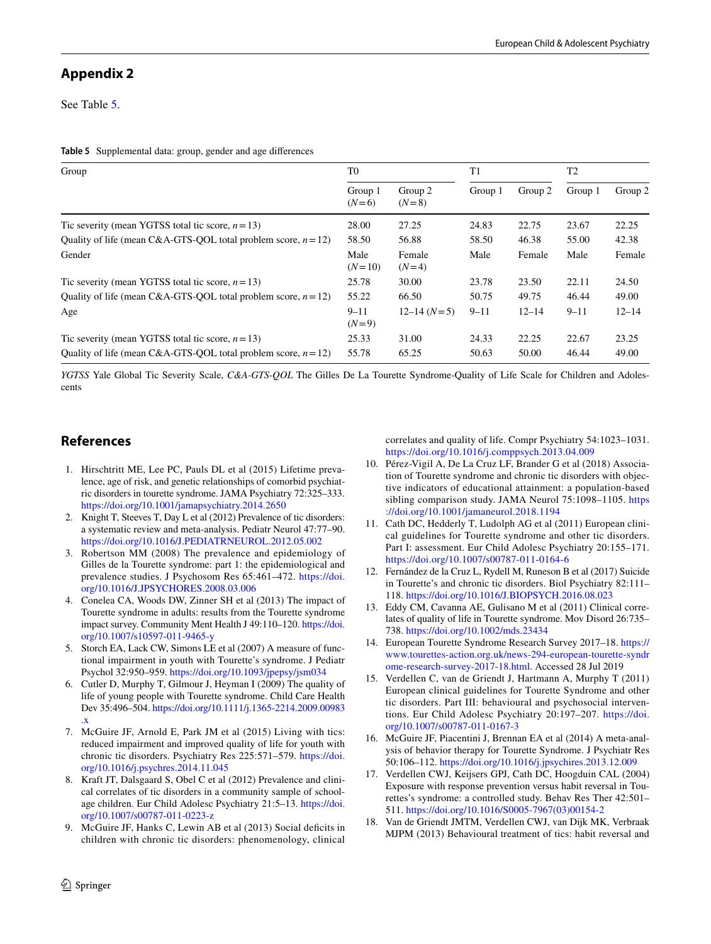## **Appendix 2**

See Table [5](#page-11-17).

<span id="page-11-17"></span>

|  |  |  |  | Table 5 Supplemental data: group, gender and age differences |
|--|--|--|--|--------------------------------------------------------------|
|--|--|--|--|--------------------------------------------------------------|

| Group                                                             | T <sub>0</sub>      |                    | T1       |           | T2       |           |
|-------------------------------------------------------------------|---------------------|--------------------|----------|-----------|----------|-----------|
|                                                                   | Group 1<br>$(N=6)$  | Group 2<br>$(N=8)$ | Group 1  | Group 2   | Group 1  | Group 2   |
| Tic severity (mean YGTSS total tic score, $n = 13$ )              | 28.00               | 27.25              | 24.83    | 22.75     | 23.67    | 22.25     |
| Quality of life (mean C&A-GTS-QOL total problem score, $n = 12$ ) | 58.50               | 56.88              | 58.50    | 46.38     | 55.00    | 42.38     |
| Gender                                                            | Male<br>$(N=10)$    | Female<br>$(N=4)$  | Male     | Female    | Male     | Female    |
| Tic severity (mean YGTSS total tic score, $n = 13$ )              | 25.78               | 30.00              | 23.78    | 23.50     | 22.11    | 24.50     |
| Quality of life (mean C&A-GTS-QOL total problem score, $n = 12$ ) | 55.22               | 66.50              | 50.75    | 49.75     | 46.44    | 49.00     |
| Age                                                               | $9 - 11$<br>$(N=9)$ | $12-14(N=5)$       | $9 - 11$ | $12 - 14$ | $9 - 11$ | $12 - 14$ |
| Tic severity (mean YGTSS total tic score, $n = 13$ )              | 25.33               | 31.00              | 24.33    | 22.25     | 22.67    | 23.25     |
| Quality of life (mean C&A-GTS-QOL total problem score, $n = 12$ ) | 55.78               | 65.25              | 50.63    | 50.00     | 46.44    | 49.00     |

*YGTSS* Yale Global Tic Severity Scale, *C&A-GTS-QOL* The Gilles De La Tourette Syndrome-Quality of Life Scale for Children and Adolescents

### **References**

- <span id="page-11-0"></span>1. Hirschtritt ME, Lee PC, Pauls DL et al (2015) Lifetime prevalence, age of risk, and genetic relationships of comorbid psychiatric disorders in tourette syndrome. JAMA Psychiatry 72:325–333. https://doi.org/10.1001/jamapsychiatry.2014.2650
- <span id="page-11-1"></span>2. Knight T, Steeves T, Day L et al (2012) Prevalence of tic disorders: a systematic review and meta-analysis. Pediatr Neurol 47:77–90. https://doi.org/10.1016/J.PEDIATRNEUROL.2012.05.002
- <span id="page-11-2"></span>Robertson MM (2008) The prevalence and epidemiology of Gilles de la Tourette syndrome: part 1: the epidemiological and prevalence studies. J Psychosom Res 65:461–472. https://doi. org/10.1016/J.JPSYCHORES.2008.03.006
- <span id="page-11-3"></span>4. Conelea CA, Woods DW, Zinner SH et al (2013) The impact of Tourette syndrome in adults: results from the Tourette syndrome impact survey. Community Ment Health J 49:110–120. https://doi. org/10.1007/s10597-011-9465-y
- <span id="page-11-5"></span>5. Storch EA, Lack CW, Simons LE et al (2007) A measure of functional impairment in youth with Tourette's syndrome. J Pediatr Psychol 32:950–959. https://doi.org/10.1093/jpepsy/jsm034
- 6. Cutler D, Murphy T, Gilmour J, Heyman I (2009) The quality of life of young people with Tourette syndrome. Child Care Health Dev 35:496–504. https://doi.org/10.1111/j.1365-2214.2009.00983 .x
- <span id="page-11-4"></span>7. McGuire JF, Arnold E, Park JM et al (2015) Living with tics: reduced impairment and improved quality of life for youth with chronic tic disorders. Psychiatry Res 225:571–579. https://doi. org/10.1016/j.psychres.2014.11.045
- <span id="page-11-6"></span>8. Kraft JT, Dalsgaard S, Obel C et al (2012) Prevalence and clinical correlates of tic disorders in a community sample of schoolage children. Eur Child Adolesc Psychiatry 21:5–13. https://doi. org/10.1007/s00787-011-0223-z
- <span id="page-11-7"></span>9. McGuire JF, Hanks C, Lewin AB et al (2013) Social deficits in children with chronic tic disorders: phenomenology, clinical

correlates and quality of life. Compr Psychiatry 54:1023–1031. https://doi.org/10.1016/j.comppsych.2013.04.009

- <span id="page-11-8"></span>10. Pérez-Vigil A, De La Cruz LF, Brander G et al (2018) Association of Tourette syndrome and chronic tic disorders with objective indicators of educational attainment: a population-based sibling comparison study. JAMA Neurol 75:1098–1105. https ://doi.org/10.1001/jamaneurol.2018.1194
- <span id="page-11-9"></span>11. Cath DC, Hedderly T, Ludolph AG et al (2011) European clinical guidelines for Tourette syndrome and other tic disorders. Part I: assessment. Eur Child Adolesc Psychiatry 20:155–171. https://doi.org/10.1007/s00787-011-0164-6
- <span id="page-11-10"></span>12. Fernández de la Cruz L, Rydell M, Runeson B et al (2017) Suicide in Tourette's and chronic tic disorders. Biol Psychiatry 82:111– 118. https://doi.org/10.1016/J.BIOPSYCH.2016.08.023
- <span id="page-11-11"></span>13. Eddy CM, Cavanna AE, Gulisano M et al (2011) Clinical correlates of quality of life in Tourette syndrome. Mov Disord 26:735– 738. https://doi.org/10.1002/mds.23434
- <span id="page-11-12"></span>14. European Tourette Syndrome Research Survey 2017–18. https:// www.tourettes-action.org.uk/news-294-european-tourette-syndr ome-research-survey-2017-18.html. Accessed 28 Jul 2019
- <span id="page-11-13"></span>15. Verdellen C, van de Griendt J, Hartmann A, Murphy T (2011) European clinical guidelines for Tourette Syndrome and other tic disorders. Part III: behavioural and psychosocial interventions. Eur Child Adolesc Psychiatry 20:197–207. https://doi. org/10.1007/s00787-011-0167-3
- <span id="page-11-14"></span>16. McGuire JF, Piacentini J, Brennan EA et al (2014) A meta-analysis of behavior therapy for Tourette Syndrome. J Psychiatr Res 50:106–112. https://doi.org/10.1016/j.jpsychires.2013.12.009
- <span id="page-11-15"></span>17. Verdellen CWJ, Keijsers GPJ, Cath DC, Hoogduin CAL (2004) Exposure with response prevention versus habit reversal in Tourettes's syndrome: a controlled study. Behav Res Ther 42:501– 511. https://doi.org/10.1016/S0005-7967(03)00154-2
- <span id="page-11-16"></span>18. Van de Griendt JMTM, Verdellen CWJ, van Dijk MK, Verbraak MJPM (2013) Behavioural treatment of tics: habit reversal and